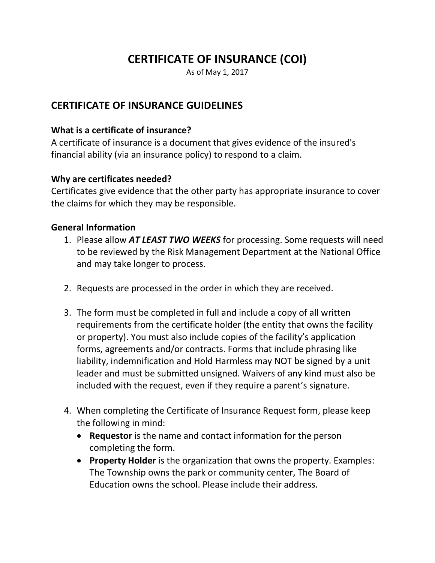# **CERTIFICATE OF INSURANCE (COI)**

As of May 1, 2017

# **CERTIFICATE OF INSURANCE GUIDELINES**

## **What is a certificate of insurance?**

A certificate of insurance is a document that gives evidence of the insured's financial ability (via an insurance policy) to respond to a claim.

### **Why are certificates needed?**

Certificates give evidence that the other party has appropriate insurance to cover the claims for which they may be responsible.

### **General Information**

- 1. Please allow *AT LEAST TWO WEEKS* for processing. Some requests will need to be reviewed by the Risk Management Department at the National Office and may take longer to process.
- 2. Requests are processed in the order in which they are received.
- 3. The form must be completed in full and include a copy of all written requirements from the certificate holder (the entity that owns the facility or property). You must also include copies of the facility's application forms, agreements and/or contracts. Forms that include phrasing like liability, indemnification and Hold Harmless may NOT be signed by a unit leader and must be submitted unsigned. Waivers of any kind must also be included with the request, even if they require a parent's signature.
- 4. When completing the Certificate of Insurance Request form, please keep the following in mind:
	- **Requestor** is the name and contact information for the person completing the form.
	- **Property Holder** is the organization that owns the property. Examples: The Township owns the park or community center, The Board of Education owns the school. Please include their address.